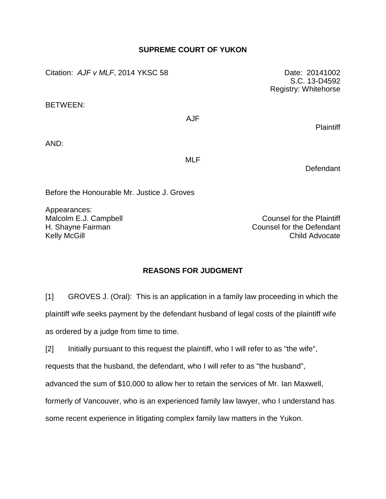## **SUPREME COURT OF YUKON**

Citation: *AJF v MLF*, 2014 YKSC 58 Date: 20141002

BETWEEN:

AJF

AND:

MLF

Defendant

**Plaintiff** 

Before the Honourable Mr. Justice J. Groves

Appearances:

Malcolm E.J. Campbell **Counsel for the Plaintiff** H. Shayne Fairman Counsel for the Defendant Kelly McGill **Child Advocate** 

## **REASONS FOR JUDGMENT**

[1] GROVES J. (Oral): This is an application in a family law proceeding in which the plaintiff wife seeks payment by the defendant husband of legal costs of the plaintiff wife as ordered by a judge from time to time.

[2] Initially pursuant to this request the plaintiff, who I will refer to as "the wife", requests that the husband, the defendant, who I will refer to as "the husband", advanced the sum of \$10,000 to allow her to retain the services of Mr. Ian Maxwell, formerly of Vancouver, who is an experienced family law lawyer, who I understand has some recent experience in litigating complex family law matters in the Yukon.

S.C. 13-D4592 Registry: Whitehorse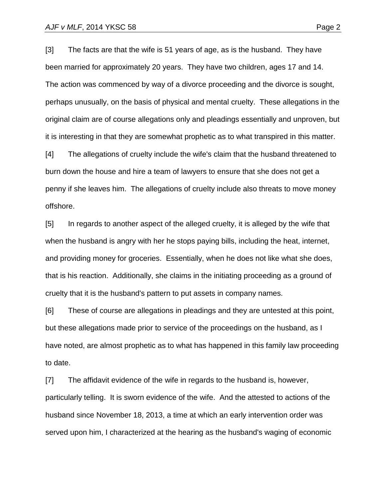[3] The facts are that the wife is 51 years of age, as is the husband. They have been married for approximately 20 years. They have two children, ages 17 and 14. The action was commenced by way of a divorce proceeding and the divorce is sought, perhaps unusually, on the basis of physical and mental cruelty. These allegations in the original claim are of course allegations only and pleadings essentially and unproven, but it is interesting in that they are somewhat prophetic as to what transpired in this matter.

[4] The allegations of cruelty include the wife's claim that the husband threatened to burn down the house and hire a team of lawyers to ensure that she does not get a penny if she leaves him. The allegations of cruelty include also threats to move money offshore.

[5] In regards to another aspect of the alleged cruelty, it is alleged by the wife that when the husband is angry with her he stops paying bills, including the heat, internet, and providing money for groceries. Essentially, when he does not like what she does, that is his reaction. Additionally, she claims in the initiating proceeding as a ground of cruelty that it is the husband's pattern to put assets in company names.

[6] These of course are allegations in pleadings and they are untested at this point, but these allegations made prior to service of the proceedings on the husband, as I have noted, are almost prophetic as to what has happened in this family law proceeding to date.

[7] The affidavit evidence of the wife in regards to the husband is, however, particularly telling. It is sworn evidence of the wife. And the attested to actions of the husband since November 18, 2013, a time at which an early intervention order was served upon him, I characterized at the hearing as the husband's waging of economic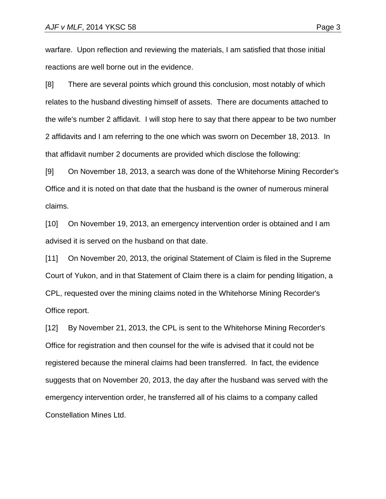warfare. Upon reflection and reviewing the materials, I am satisfied that those initial reactions are well borne out in the evidence.

[8] There are several points which ground this conclusion, most notably of which relates to the husband divesting himself of assets. There are documents attached to the wife's number 2 affidavit. I will stop here to say that there appear to be two number 2 affidavits and I am referring to the one which was sworn on December 18, 2013. In that affidavit number 2 documents are provided which disclose the following:

[9] On November 18, 2013, a search was done of the Whitehorse Mining Recorder's Office and it is noted on that date that the husband is the owner of numerous mineral claims.

[10] On November 19, 2013, an emergency intervention order is obtained and I am advised it is served on the husband on that date.

[11] On November 20, 2013, the original Statement of Claim is filed in the Supreme Court of Yukon, and in that Statement of Claim there is a claim for pending litigation, a CPL, requested over the mining claims noted in the Whitehorse Mining Recorder's Office report.

[12] By November 21, 2013, the CPL is sent to the Whitehorse Mining Recorder's Office for registration and then counsel for the wife is advised that it could not be registered because the mineral claims had been transferred. In fact, the evidence suggests that on November 20, 2013, the day after the husband was served with the emergency intervention order, he transferred all of his claims to a company called Constellation Mines Ltd.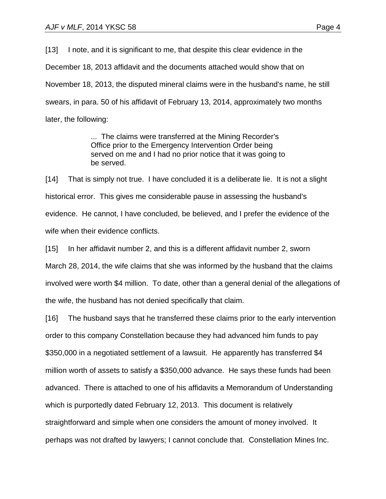[13] I note, and it is significant to me, that despite this clear evidence in the December 18, 2013 affidavit and the documents attached would show that on November 18, 2013, the disputed mineral claims were in the husband's name, he still swears, in para. 50 of his affidavit of February 13, 2014, approximately two months later, the following:

> ... The claims were transferred at the Mining Recorder's Office prior to the Emergency Intervention Order being served on me and I had no prior notice that it was going to be served.

[14] That is simply not true. I have concluded it is a deliberate lie. It is not a slight historical error. This gives me considerable pause in assessing the husband's evidence. He cannot, I have concluded, be believed, and I prefer the evidence of the wife when their evidence conflicts.

[15] In her affidavit number 2, and this is a different affidavit number 2, sworn March 28, 2014, the wife claims that she was informed by the husband that the claims involved were worth \$4 million. To date, other than a general denial of the allegations of the wife, the husband has not denied specifically that claim.

[16] The husband says that he transferred these claims prior to the early intervention order to this company Constellation because they had advanced him funds to pay \$350,000 in a negotiated settlement of a lawsuit. He apparently has transferred \$4 million worth of assets to satisfy a \$350,000 advance. He says these funds had been advanced. There is attached to one of his affidavits a Memorandum of Understanding which is purportedly dated February 12, 2013. This document is relatively straightforward and simple when one considers the amount of money involved. It perhaps was not drafted by lawyers; I cannot conclude that. Constellation Mines Inc.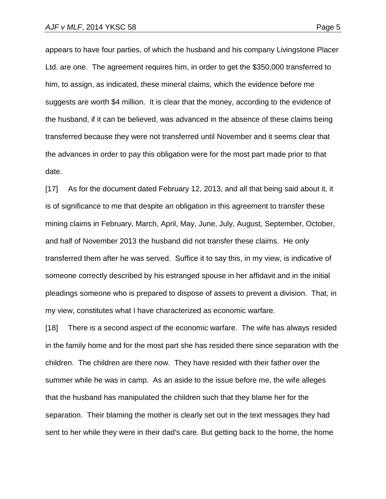appears to have four parties, of which the husband and his company Livingstone Placer

Ltd. are one. The agreement requires him, in order to get the \$350,000 transferred to him, to assign, as indicated, these mineral claims, which the evidence before me suggests are worth \$4 million. It is clear that the money, according to the evidence of the husband, if it can be believed, was advanced in the absence of these claims being transferred because they were not transferred until November and it seems clear that the advances in order to pay this obligation were for the most part made prior to that date.

[17] As for the document dated February 12, 2013, and all that being said about it, it is of significance to me that despite an obligation in this agreement to transfer these mining claims in February, March, April, May, June, July, August, September, October, and half of November 2013 the husband did not transfer these claims. He only transferred them after he was served. Suffice it to say this, in my view, is indicative of someone correctly described by his estranged spouse in her affidavit and in the initial pleadings someone who is prepared to dispose of assets to prevent a division. That, in my view, constitutes what I have characterized as economic warfare.

[18] There is a second aspect of the economic warfare. The wife has always resided in the family home and for the most part she has resided there since separation with the children. The children are there now. They have resided with their father over the summer while he was in camp. As an aside to the issue before me, the wife alleges that the husband has manipulated the children such that they blame her for the separation. Their blaming the mother is clearly set out in the text messages they had sent to her while they were in their dad's care. But getting back to the home, the home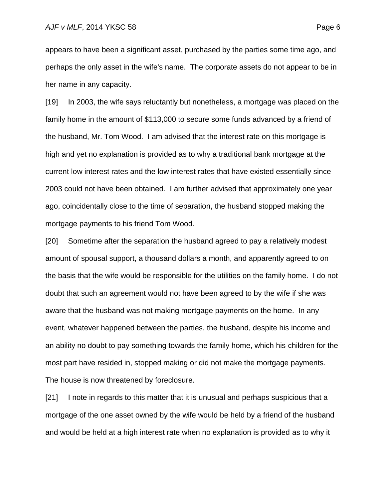appears to have been a significant asset, purchased by the parties some time ago, and perhaps the only asset in the wife's name. The corporate assets do not appear to be in her name in any capacity.

[19] In 2003, the wife says reluctantly but nonetheless, a mortgage was placed on the family home in the amount of \$113,000 to secure some funds advanced by a friend of the husband, Mr. Tom Wood. I am advised that the interest rate on this mortgage is high and yet no explanation is provided as to why a traditional bank mortgage at the current low interest rates and the low interest rates that have existed essentially since 2003 could not have been obtained. I am further advised that approximately one year ago, coincidentally close to the time of separation, the husband stopped making the mortgage payments to his friend Tom Wood.

[20] Sometime after the separation the husband agreed to pay a relatively modest amount of spousal support, a thousand dollars a month, and apparently agreed to on the basis that the wife would be responsible for the utilities on the family home. I do not doubt that such an agreement would not have been agreed to by the wife if she was aware that the husband was not making mortgage payments on the home. In any event, whatever happened between the parties, the husband, despite his income and an ability no doubt to pay something towards the family home, which his children for the most part have resided in, stopped making or did not make the mortgage payments. The house is now threatened by foreclosure.

[21] I note in regards to this matter that it is unusual and perhaps suspicious that a mortgage of the one asset owned by the wife would be held by a friend of the husband and would be held at a high interest rate when no explanation is provided as to why it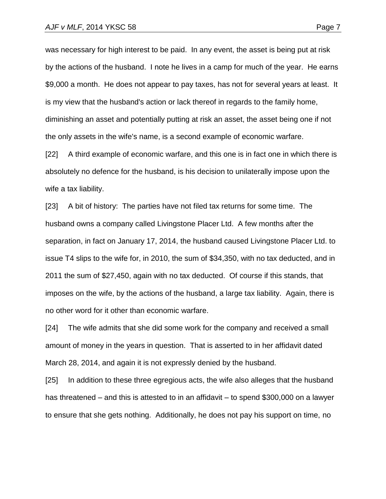was necessary for high interest to be paid. In any event, the asset is being put at risk by the actions of the husband. I note he lives in a camp for much of the year. He earns \$9,000 a month. He does not appear to pay taxes, has not for several years at least. It is my view that the husband's action or lack thereof in regards to the family home, diminishing an asset and potentially putting at risk an asset, the asset being one if not the only assets in the wife's name, is a second example of economic warfare.

[22] A third example of economic warfare, and this one is in fact one in which there is absolutely no defence for the husband, is his decision to unilaterally impose upon the wife a tax liability.

[23] A bit of history: The parties have not filed tax returns for some time. The husband owns a company called Livingstone Placer Ltd. A few months after the separation, in fact on January 17, 2014, the husband caused Livingstone Placer Ltd. to issue T4 slips to the wife for, in 2010, the sum of \$34,350, with no tax deducted, and in 2011 the sum of \$27,450, again with no tax deducted. Of course if this stands, that imposes on the wife, by the actions of the husband, a large tax liability. Again, there is no other word for it other than economic warfare.

[24] The wife admits that she did some work for the company and received a small amount of money in the years in question. That is asserted to in her affidavit dated March 28, 2014, and again it is not expressly denied by the husband.

[25] In addition to these three egregious acts, the wife also alleges that the husband has threatened – and this is attested to in an affidavit – to spend \$300,000 on a lawyer to ensure that she gets nothing. Additionally, he does not pay his support on time, no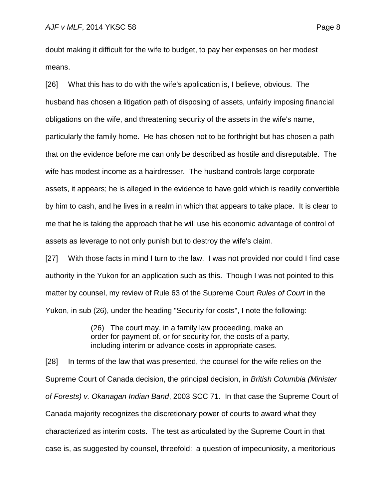doubt making it difficult for the wife to budget, to pay her expenses on her modest means.

[26] What this has to do with the wife's application is, I believe, obvious. The husband has chosen a litigation path of disposing of assets, unfairly imposing financial obligations on the wife, and threatening security of the assets in the wife's name, particularly the family home. He has chosen not to be forthright but has chosen a path that on the evidence before me can only be described as hostile and disreputable. The wife has modest income as a hairdresser. The husband controls large corporate assets, it appears; he is alleged in the evidence to have gold which is readily convertible by him to cash, and he lives in a realm in which that appears to take place. It is clear to me that he is taking the approach that he will use his economic advantage of control of assets as leverage to not only punish but to destroy the wife's claim.

[27] With those facts in mind I turn to the law. I was not provided nor could I find case authority in the Yukon for an application such as this. Though I was not pointed to this matter by counsel, my review of Rule 63 of the Supreme Court *Rules of Court* in the Yukon, in sub (26), under the heading "Security for costs", I note the following:

> (26) The court may, in a family law proceeding, make an order for payment of, or for security for, the costs of a party, including interim or advance costs in appropriate cases.

[28] In terms of the law that was presented, the counsel for the wife relies on the Supreme Court of Canada decision, the principal decision, in *British Columbia (Minister of Forests) v. Okanagan Indian Band*, 2003 SCC 71. In that case the Supreme Court of Canada majority recognizes the discretionary power of courts to award what they characterized as interim costs. The test as articulated by the Supreme Court in that case is, as suggested by counsel, threefold: a question of impecuniosity, a meritorious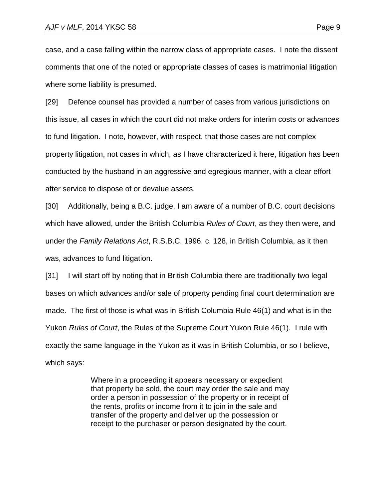case, and a case falling within the narrow class of appropriate cases. I note the dissent comments that one of the noted or appropriate classes of cases is matrimonial litigation where some liability is presumed.

[29] Defence counsel has provided a number of cases from various jurisdictions on this issue, all cases in which the court did not make orders for interim costs or advances to fund litigation. I note, however, with respect, that those cases are not complex property litigation, not cases in which, as I have characterized it here, litigation has been conducted by the husband in an aggressive and egregious manner, with a clear effort after service to dispose of or devalue assets.

[30] Additionally, being a B.C. judge, I am aware of a number of B.C. court decisions which have allowed, under the British Columbia *Rules of Court*, as they then were, and under the *Family Relations Act*, R.S.B.C. 1996, c. 128, in British Columbia, as it then was, advances to fund litigation.

[31] I will start off by noting that in British Columbia there are traditionally two legal bases on which advances and/or sale of property pending final court determination are made. The first of those is what was in British Columbia Rule 46(1) and what is in the Yukon *Rules of Court*, the Rules of the Supreme Court Yukon Rule 46(1). I rule with exactly the same language in the Yukon as it was in British Columbia, or so I believe, which says:

> Where in a proceeding it appears necessary or expedient that property be sold, the court may order the sale and may order a person in possession of the property or in receipt of the rents, profits or income from it to join in the sale and transfer of the property and deliver up the possession or receipt to the purchaser or person designated by the court.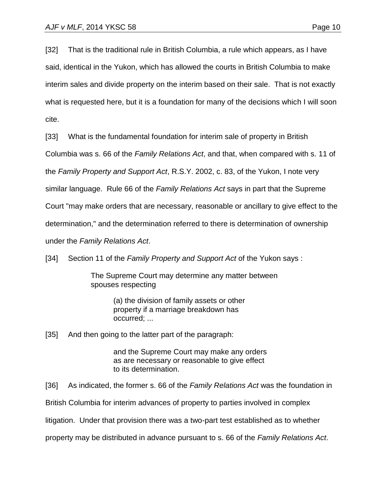[32] That is the traditional rule in British Columbia, a rule which appears, as I have said, identical in the Yukon, which has allowed the courts in British Columbia to make interim sales and divide property on the interim based on their sale. That is not exactly what is requested here, but it is a foundation for many of the decisions which I will soon cite.

[33] What is the fundamental foundation for interim sale of property in British

Columbia was s. 66 of the *Family Relations Act*, and that, when compared with s. 11 of

the *Family Property and Support Act*, R.S.Y. 2002, c. 83, of the Yukon, I note very

similar language. Rule 66 of the *Family Relations Act* says in part that the Supreme

Court "may make orders that are necessary, reasonable or ancillary to give effect to the

determination," and the determination referred to there is determination of ownership

under the *Family Relations Act*.

[34] Section 11 of the *Family Property and Support Act* of the Yukon says :

The Supreme Court may determine any matter between spouses respecting

> (a) the division of family assets or other property if a marriage breakdown has occurred; ...

[35] And then going to the latter part of the paragraph:

and the Supreme Court may make any orders as are necessary or reasonable to give effect to its determination.

[36] As indicated, the former s. 66 of the *Family Relations Act* was the foundation in

British Columbia for interim advances of property to parties involved in complex

litigation. Under that provision there was a two-part test established as to whether

property may be distributed in advance pursuant to s. 66 of the *Family Relations Act*.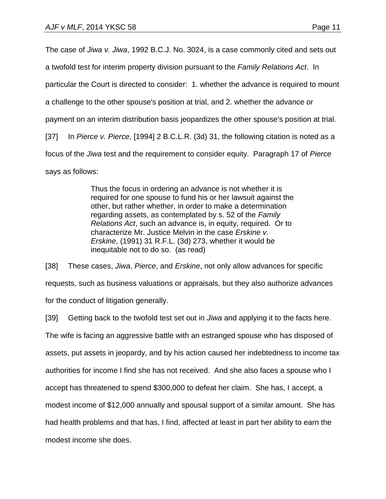The case of *Jiwa v. Jiwa*, 1992 B.C.J. No. 3024, is a case commonly cited and sets out a twofold test for interim property division pursuant to the *Family Relations Act*. In particular the Court is directed to consider: 1. whether the advance is required to mount a challenge to the other spouse's position at trial, and 2. whether the advance or payment on an interim distribution basis jeopardizes the other spouse's position at trial. [37] In *Pierce v. Pierce*, [1994] 2 B.C.L.R. (3d) 31, the following citation is noted as a focus of the *Jiwa* test and the requirement to consider equity. Paragraph 17 of *Pierce* says as follows:

> Thus the focus in ordering an advance is not whether it is required for one spouse to fund his or her lawsuit against the other, but rather whether, in order to make a determination regarding assets, as contemplated by s. 52 of the *Family Relations Act*, such an advance is, in equity, required. Or to characterize Mr. Justice Melvin in the case *Erskine v. Erskine*, (1991) 31 R.F.L. (3d) 273, whether it would be inequitable not to do so. (as read)

[38] These cases, *Jiwa*, *Pierce*, and *Erskine*, not only allow advances for specific requests, such as business valuations or appraisals, but they also authorize advances for the conduct of litigation generally.

[39] Getting back to the twofold test set out in *Jiwa* and applying it to the facts here. The wife is facing an aggressive battle with an estranged spouse who has disposed of assets, put assets in jeopardy, and by his action caused her indebtedness to income tax authorities for income I find she has not received. And she also faces a spouse who I accept has threatened to spend \$300,000 to defeat her claim. She has, I accept, a modest income of \$12,000 annually and spousal support of a similar amount. She has had health problems and that has, I find, affected at least in part her ability to earn the modest income she does.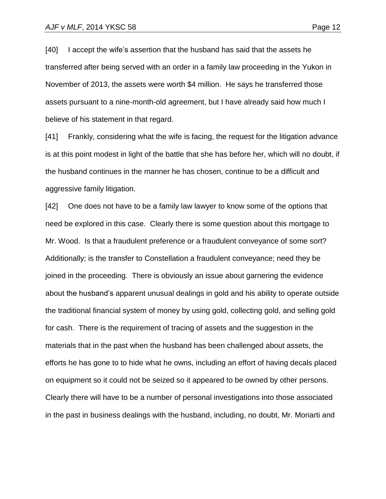[40] I accept the wife's assertion that the husband has said that the assets he transferred after being served with an order in a family law proceeding in the Yukon in November of 2013, the assets were worth \$4 million. He says he transferred those assets pursuant to a nine-month-old agreement, but I have already said how much I believe of his statement in that regard.

[41] Frankly, considering what the wife is facing, the request for the litigation advance is at this point modest in light of the battle that she has before her, which will no doubt, if the husband continues in the manner he has chosen, continue to be a difficult and aggressive family litigation.

[42] One does not have to be a family law lawyer to know some of the options that need be explored in this case. Clearly there is some question about this mortgage to Mr. Wood. Is that a fraudulent preference or a fraudulent conveyance of some sort? Additionally; is the transfer to Constellation a fraudulent conveyance; need they be joined in the proceeding. There is obviously an issue about garnering the evidence about the husband's apparent unusual dealings in gold and his ability to operate outside the traditional financial system of money by using gold, collecting gold, and selling gold for cash. There is the requirement of tracing of assets and the suggestion in the materials that in the past when the husband has been challenged about assets, the efforts he has gone to to hide what he owns, including an effort of having decals placed on equipment so it could not be seized so it appeared to be owned by other persons. Clearly there will have to be a number of personal investigations into those associated in the past in business dealings with the husband, including, no doubt, Mr. Moriarti and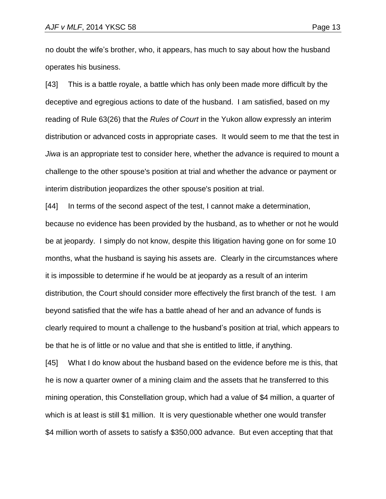no doubt the wife's brother, who, it appears, has much to say about how the husband operates his business.

[43] This is a battle royale, a battle which has only been made more difficult by the deceptive and egregious actions to date of the husband. I am satisfied, based on my reading of Rule 63(26) that the *Rules of Court* in the Yukon allow expressly an interim distribution or advanced costs in appropriate cases. It would seem to me that the test in *Jiwa* is an appropriate test to consider here, whether the advance is required to mount a challenge to the other spouse's position at trial and whether the advance or payment or interim distribution jeopardizes the other spouse's position at trial.

[44] In terms of the second aspect of the test, I cannot make a determination, because no evidence has been provided by the husband, as to whether or not he would be at jeopardy. I simply do not know, despite this litigation having gone on for some 10 months, what the husband is saying his assets are. Clearly in the circumstances where it is impossible to determine if he would be at jeopardy as a result of an interim distribution, the Court should consider more effectively the first branch of the test. I am beyond satisfied that the wife has a battle ahead of her and an advance of funds is clearly required to mount a challenge to the husband's position at trial, which appears to be that he is of little or no value and that she is entitled to little, if anything.

[45] What I do know about the husband based on the evidence before me is this, that he is now a quarter owner of a mining claim and the assets that he transferred to this mining operation, this Constellation group, which had a value of \$4 million, a quarter of which is at least is still \$1 million. It is very questionable whether one would transfer \$4 million worth of assets to satisfy a \$350,000 advance. But even accepting that that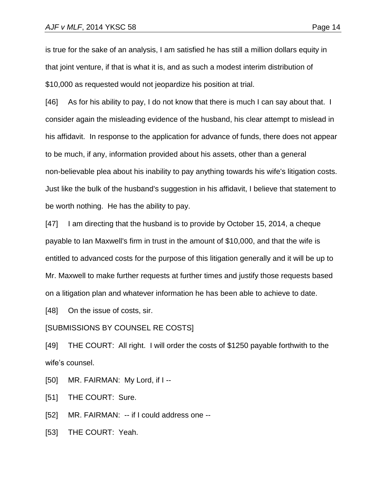is true for the sake of an analysis, I am satisfied he has still a million dollars equity in that joint venture, if that is what it is, and as such a modest interim distribution of \$10,000 as requested would not jeopardize his position at trial.

[46] As for his ability to pay, I do not know that there is much I can say about that. I consider again the misleading evidence of the husband, his clear attempt to mislead in his affidavit. In response to the application for advance of funds, there does not appear to be much, if any, information provided about his assets, other than a general non-believable plea about his inability to pay anything towards his wife's litigation costs. Just like the bulk of the husband's suggestion in his affidavit, I believe that statement to be worth nothing. He has the ability to pay.

[47] I am directing that the husband is to provide by October 15, 2014, a cheque payable to Ian Maxwell's firm in trust in the amount of \$10,000, and that the wife is entitled to advanced costs for the purpose of this litigation generally and it will be up to Mr. Maxwell to make further requests at further times and justify those requests based on a litigation plan and whatever information he has been able to achieve to date.

[48] On the issue of costs, sir.

## [SUBMISSIONS BY COUNSEL RE COSTS]

[49] THE COURT: All right. I will order the costs of \$1250 payable forthwith to the wife's counsel.

[50] MR. FAIRMAN: My Lord, if I--

[51] THE COURT: Sure.

[52] MR. FAIRMAN: -- if I could address one --

[53] THE COURT: Yeah.